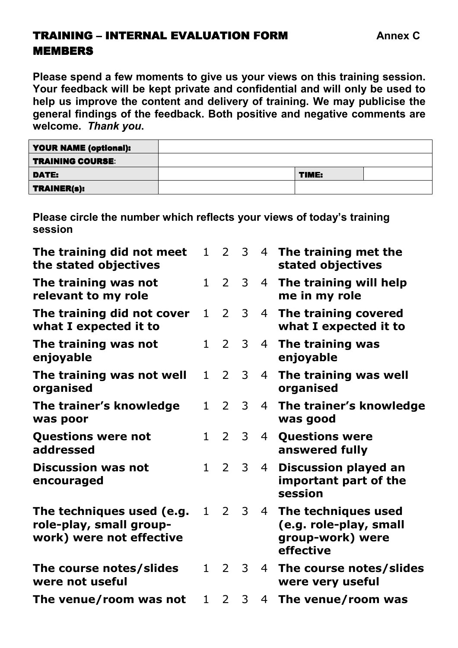## **TRAINING – INTERNAL EVALUATION FORM GENERAL Annex C** MEMBERS

**Please spend a few moments to give us your views on this training session. Your feedback will be kept private and confidential and will only be used to help us improve the content and delivery of training. We may publicise the general findings of the feedback. Both positive and negative comments are welcome.** *Thank you***.** 

| <b>YOUR NAME (optional):</b> |       |  |
|------------------------------|-------|--|
| <b>TRAINING COURSE:</b>      |       |  |
| DATE:                        | TIME: |  |
| <b>TRAINER(s):</b>           |       |  |

**Please circle the number which reflects your views of today's training session** 

| The training did not meet<br>the stated objectives                               | $\mathbf{1}$    | $2^{\circ}$    | $\mathbf{3}$   |                | 4 The training met the<br>stated objectives                                    |
|----------------------------------------------------------------------------------|-----------------|----------------|----------------|----------------|--------------------------------------------------------------------------------|
| The training was not<br>relevant to my role                                      |                 | $1\quad 2$     | $\overline{3}$ | $\overline{4}$ | The training will help<br>me in my role                                        |
| The training did not cover<br>what I expected it to                              | 1               | $\overline{2}$ | $\mathbf{3}$   | $\overline{4}$ | The training covered<br>what I expected it to                                  |
| The training was not<br>enjoyable                                                | $\mathbf{1}$    | $\overline{2}$ | $\mathcal{B}$  | 4              | The training was<br>enjoyable                                                  |
| The training was not well<br>organised                                           | $\mathbf{1}$    | $\overline{2}$ | 3              | 4              | The training was well<br>organised                                             |
| The trainer's knowledge<br>was poor                                              | 1               | $2^{\circ}$    | $\overline{3}$ | $\overline{4}$ | The trainer's knowledge<br>was good                                            |
| <b>Questions were not</b><br>addressed                                           | $1\overline{ }$ | $\overline{2}$ | 3              | $\overline{4}$ | <b>Questions were</b><br>answered fully                                        |
| <b>Discussion was not</b><br>encouraged                                          | $\mathbf{1}$    | $\overline{2}$ | $\mathcal{S}$  | $\overline{4}$ | <b>Discussion played an</b><br>important part of the<br>session                |
| The techniques used (e.g.<br>role-play, small group-<br>work) were not effective |                 | $1\quad 2$     | 3              | 4              | The techniques used<br>(e.g. role-play, small<br>group-work) were<br>effective |
| The course notes/slides<br>were not useful                                       | 1               | $2^{\circ}$    | $\overline{3}$ | 4              | The course notes/slides<br>were very useful                                    |
| The venue/room was not                                                           | 1               | 2              | 3              | 4              | The venue/room was                                                             |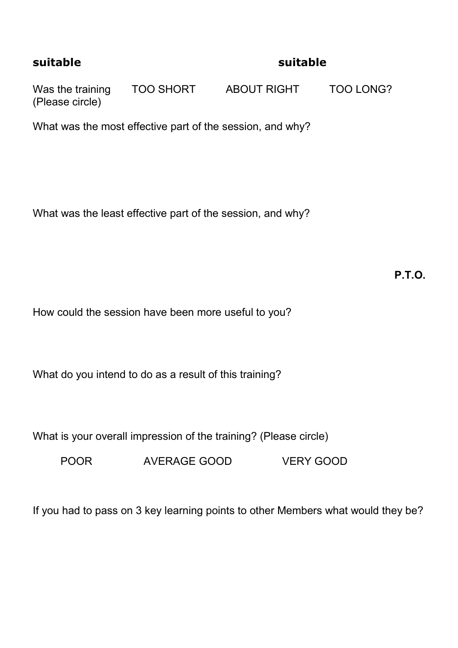## **suitable suitable**

Was the training TOO SHORT ABOUT RIGHT TOO LONG? (Please circle)

What was the most effective part of the session, and why?

What was the least effective part of the session, and why?

**P.T.O.** 

How could the session have been more useful to you?

What do you intend to do as a result of this training?

What is your overall impression of the training? (Please circle)

POOR AVERAGE GOOD VERY GOOD

If you had to pass on 3 key learning points to other Members what would they be?